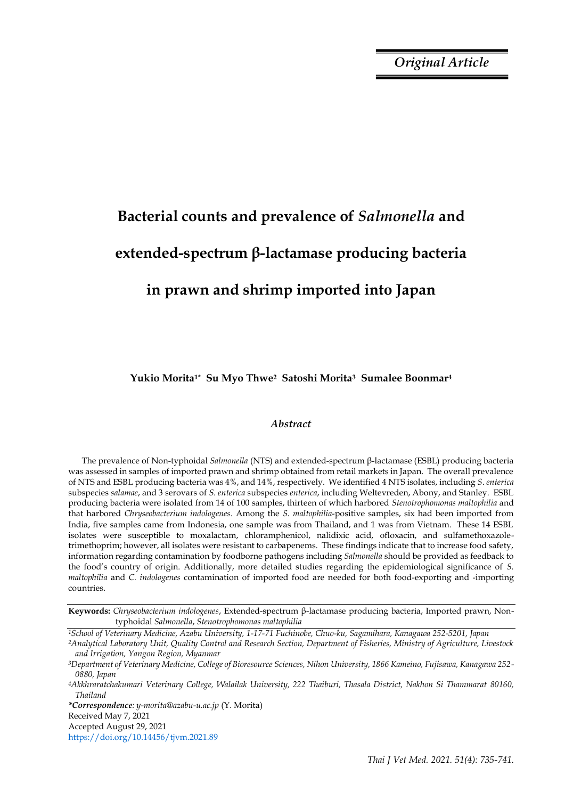*Original Article*

# **Bacterial counts and prevalence of** *Salmonella* **and extended-spectrum β-lactamase producing bacteria in prawn and shrimp imported into Japan**

**Yukio Morita1\* Su Myo Thwe2 Satoshi Morita3 Sumalee Boonmar<sup>4</sup>**

## *Abstract*

The prevalence of Non-typhoidal *Salmonella* (NTS) and extended-spectrum β-lactamase (ESBL) producing bacteria was assessed in samples of imported prawn and shrimp obtained from retail markets in Japan. The overall prevalence of NTS and ESBL producing bacteria was 4%, and 14%, respectively. We identified 4 NTS isolates, including *S*. *enterica* subspecies *salamae*, and 3 serovars of *S. enterica* subspecies *enterica*, including Weltevreden, Abony, and Stanley. ESBL producing bacteria were isolated from 14 of 100 samples, thirteen of which harbored *Stenotrophomonas maltophilia* and that harbored *Chryseobacterium indologenes*. Among the *S. maltophilia*-positive samples, six had been imported from India, five samples came from Indonesia, one sample was from Thailand, and 1 was from Vietnam. These 14 ESBL isolates were susceptible to moxalactam, chloramphenicol, nalidixic acid, ofloxacin, and sulfamethoxazoletrimethoprim; however, all isolates were resistant to carbapenems. These findings indicate that to increase food safety, information regarding contamination by foodborne pathogens including *Salmonella* should be provided as feedback to the food's country of origin. Additionally, more detailed studies regarding the epidemiological significance of *S. maltophilia* and *C. indologenes* contamination of imported food are needed for both food-exporting and -importing countries.

*\*Correspondence: y-morita@azabu-u.ac.jp* (Y. Morita) Received May 7, 2021

Accepted August 29, 2021

https://doi.org/10.14456/tjvm.2021.89

**Keywords:** *Chryseobacterium indologenes*, Extended-spectrum β-lactamase producing bacteria, Imported prawn, Nontyphoidal *Salmonella*, *Stenotrophomonas maltophilia*

*<sup>1</sup>School of Veterinary Medicine, Azabu University, 1-17-71 Fuchinobe, Chuo-ku, Sagamihara, Kanagawa 252-5201, Japan* 

*<sup>2</sup>Analytical Laboratory Unit, Quality Control and Research Section, Department of Fisheries, Ministry of Agriculture, Livestock and Irrigation, Yangon Region, Myanmar* 

*<sup>3</sup>Department of Veterinary Medicine, College of Bioresource Sciences, Nihon University, 1866 Kameino, Fujisawa, Kanagawa 252- 0880, Japan* 

*<sup>4</sup>Akkhraratchakumari Veterinary College, Walailak University, 222 Thaiburi, Thasala District, Nakhon Si Thammarat 80160, Thailand*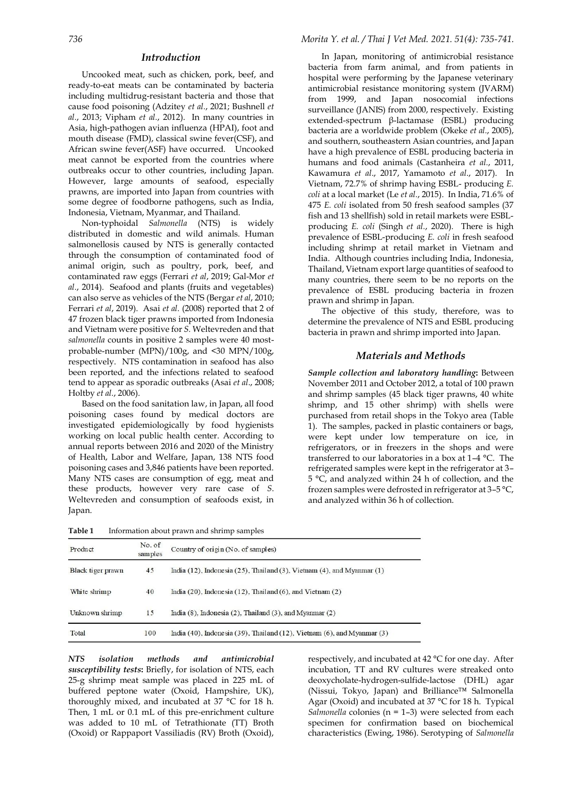### *Introduction*

Uncooked meat, such as chicken, pork, beef, and ready-to-eat meats can be contaminated by bacteria including multidrug-resistant bacteria and those that cause food poisoning (Adzitey *et al.*, 2021; Bushnell *et al.*, 2013; Vipham *et al.*, 2012). In many countries in Asia, high-pathogen avian influenza (HPAI), foot and mouth disease (FMD), classical swine fever(CSF), and African swine fever(ASF) have occurred. Uncooked meat cannot be exported from the countries where outbreaks occur to other countries, including Japan. However, large amounts of seafood, especially prawns, are imported into Japan from countries with some degree of foodborne pathogens, such as India, Indonesia, Vietnam, Myanmar, and Thailand.

Non-typhoidal *Salmonella* (NTS) is widely distributed in domestic and wild animals. Human salmonellosis caused by NTS is generally contacted through the consumption of contaminated food of animal origin, such as poultry, pork, beef, and contaminated raw eggs (Ferrari *et al*, 2019; Gal-Mor *et al.*, 2014). Seafood and plants (fruits and vegetables) can also serve as vehicles of the NTS (Bergar *et al*, 2010; Ferrari *et al*, 2019). Asai *et al.* (2008) reported that 2 of 47 frozen black tiger prawns imported from Indonesia and Vietnam were positive for *S.* Weltevreden and that *salmonella* counts in positive 2 samples were 40 mostprobable-number (MPN)/100g, and <30 MPN/100g, respectively. NTS contamination in seafood has also been reported, and the infections related to seafood tend to appear as sporadic outbreaks (Asai *et al*., 2008; Holtby *et al.*, 2006).

Based on the food sanitation law, in Japan, all food poisoning cases found by medical doctors are investigated epidemiologically by food hygienists working on local public health center. According to annual reports between 2016 and 2020 of the Ministry of Health, Labor and Welfare, Japan, 138 NTS food poisoning cases and 3,846 patients have been reported. Many NTS cases are consumption of egg, meat and these products, however very rare case of *S*. Weltevreden and consumption of seafoods exist, in Japan.

In Japan, monitoring of antimicrobial resistance bacteria from farm animal, and from patients in hospital were performing by the Japanese veterinary antimicrobial resistance monitoring system (JVARM) from 1999, and Japan nosocomial infections surveillance (JANIS) from 2000, respectively. Existing extended-spectrum β-lactamase (ESBL) producing bacteria are a worldwide problem (Okeke *et al.*, 2005), and southern, southeastern Asian countries, and Japan have a high prevalence of ESBL producing bacteria in humans and food animals (Castanheira *et al.*, 2011, Kawamura *et al*., 2017, Yamamoto *et al*., 2017). In Vietnam, 72.7% of shrimp having ESBL- producing *E. coli* at a local market (Le *et al.*, 2015). In India, 71.6% of 475 *E. coli* isolated from 50 fresh seafood samples (37 fish and 13 shellfish) sold in retail markets were ESBLproducing *E. coli* (Singh *et al.*, 2020). There is high prevalence of ESBL-producing *E. coli* in fresh seafood including shrimp at retail market in Vietnam and India. Although countries including India, Indonesia, Thailand, Vietnam export large quantities of seafood to many countries, there seem to be no reports on the prevalence of ESBL producing bacteria in frozen prawn and shrimp in Japan.

The objective of this study, therefore, was to determine the prevalence of NTS and ESBL producing bacteria in prawn and shrimp imported into Japan.

### *Materials and Methods*

*Sample collection and laboratory handling***:** Between November 2011 and October 2012, a total of 100 prawn and shrimp samples (45 black tiger prawns, 40 white shrimp, and 15 other shrimp) with shells were purchased from retail shops in the Tokyo area (Table 1). The samples, packed in plastic containers or bags, were kept under low temperature on ice, in refrigerators, or in freezers in the shops and were transferred to our laboratories in a box at 1–4 °C. The refrigerated samples were kept in the refrigerator at 3– 5 °C, and analyzed within 24 h of collection, and the frozen samples were defrosted in refrigerator at 3–5 °C, and analyzed within 36 h of collection.

| Product           | No. of<br>samples | Country of origin (No. of samples)                                                    |  |  |  |  |  |  |
|-------------------|-------------------|---------------------------------------------------------------------------------------|--|--|--|--|--|--|
| Black tiger prawn | 45                | India (12), Indonesia (25), Thailand (3), Vietnam (4), and Myanmar $(1)$              |  |  |  |  |  |  |
| White shrimp      | 40                | India $(20)$ , Indonesia $(12)$ , Thailand $(6)$ , and Vietnam $(2)$                  |  |  |  |  |  |  |
| Unknown shrimp    | 15                | India $(8)$ , Indonesia $(2)$ , Thailand $(3)$ , and Myanmar $(2)$                    |  |  |  |  |  |  |
| Total             | 100               | India $(40)$ , Indonesia $(39)$ , Thailand $(12)$ , Vietnam $(6)$ , and Myanmar $(3)$ |  |  |  |  |  |  |

**Table 1** Information about prawn and shrimp samples

*NTS isolation methods and antimicrobial susceptibility tests***:** Briefly, for isolation of NTS, each 25-g shrimp meat sample was placed in 225 mL of buffered peptone water (Oxoid, Hampshire, UK), thoroughly mixed, and incubated at 37 °C for 18 h. Then, 1 mL or 0.1 mL of this pre-enrichment culture was added to 10 mL of Tetrathionate (TT) Broth (Oxoid) or Rappaport Vassiliadis (RV) Broth (Oxoid),

respectively, and incubated at 42 °C for one day. After incubation, TT and RV cultures were streaked onto deoxycholate-hydrogen-sulfide-lactose (DHL) agar (Nissui, Tokyo, Japan) and Brilliance™ Salmonella Agar (Oxoid) and incubated at 37 °C for 18 h. Typical *Salmonella* colonies (n = 1–3) were selected from each specimen for confirmation based on biochemical characteristics (Ewing, 1986). Serotyping of *Salmonella*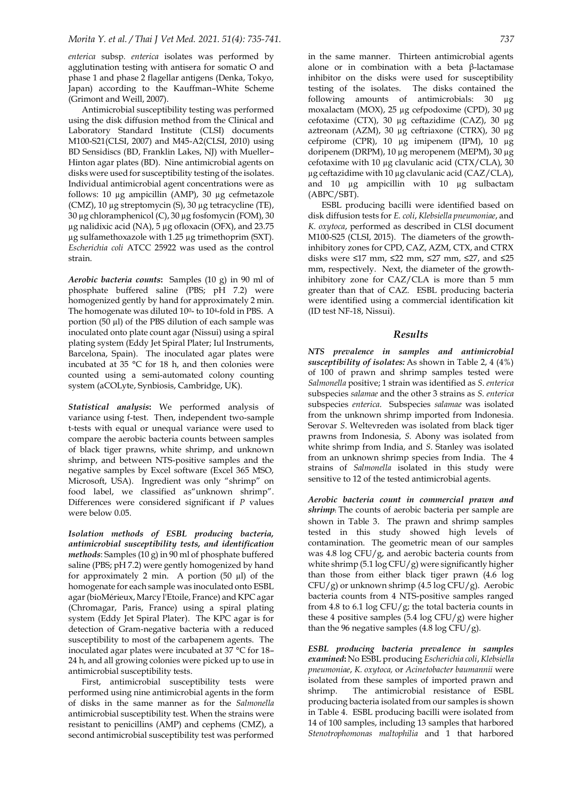*enterica* subsp*. enterica* isolates was performed by agglutination testing with antisera for somatic O and phase 1 and phase 2 flagellar antigens (Denka, Tokyo, Japan) according to the Kauffman–White Scheme (Grimont and Weill, 2007).

Antimicrobial susceptibility testing was performed using the disk diffusion method from the Clinical and Laboratory Standard Institute (CLSI) documents M100-S21(CLSI, 2007) and M45-A2(CLSI, 2010) using BD Sensidiscs (BD, Franklin Lakes, NJ) with Mueller– Hinton agar plates (BD). Nine antimicrobial agents on disks were used for susceptibility testing of the isolates. Individual antimicrobial agent concentrations were as follows: 10 µg ampicillin (AMP), 30 µg cefmetazole (CMZ), 10 µg streptomycin (S), 30 µg tetracycline (TE), 30 µg chloramphenicol (C), 30 µg fosfomycin (FOM), 30 µg nalidixic acid (NA), 5 µg ofloxacin (OFX), and 23.75 µg sulfamethoxazole with 1.25 µg trimethoprim (SXT). *Escherichia coli* ATCC 25922 was used as the control strain.

*Aerobic bacteria counts***:** Samples (10 g) in 90 ml of phosphate buffered saline (PBS; pH 7.2) were homogenized gently by hand for approximately 2 min. The homogenate was diluted 100- to 104-fold in PBS. A portion  $(50 \mu l)$  of the PBS dilution of each sample was inoculated onto plate count agar (Nissui) using a spiral plating system (Eddy Jet Spiral Plater; Iul Instruments, Barcelona, Spain). The inoculated agar plates were incubated at 35 °C for 18 h, and then colonies were counted using a semi-automated colony counting system (aCOLyte, Synbiosis, Cambridge, UK).

*Statistical analysis***:** We performed analysis of variance using f-test. Then, [independent two-sample](http://en.wikipedia.org/wiki/Student%27s_t-test#Independent_two-sample_t-test)  [t-tests](http://en.wikipedia.org/wiki/Student%27s_t-test#Independent_two-sample_t-test) with equal or unequal variance were used to compare the aerobic bacteria counts between samples of black tiger prawns, white shrimp, and unknown shrimp, and between NTS-positive samples and the negative samples by Excel software (Excel 365 MSO, Microsoft, USA). Ingredient was only "shrimp" on food label, we classified as"unknown shrimp". Differences were considered significant if *P* values were below 0.05.

*Isolation methods of ESBL producing bacteria, antimicrobial susceptibility tests, and identification methods*: Samples (10 g) in 90 ml of phosphate buffered saline (PBS; pH 7.2) were gently homogenized by hand for approximately 2 min. A portion (50 µl) of the homogenate for each sample was inoculated onto ESBL agar (bioMérieux, Marcy l'Etoile, France) and KPC agar (Chromagar, Paris, France) using a spiral plating system (Eddy Jet Spiral Plater). The KPC agar is for detection of Gram-negative bacteria with a reduced susceptibility to most of the carbapenem agents. The inoculated agar plates were incubated at 37 °C for 18– 24 h, and all growing colonies were picked up to use in antimicrobial susceptibility tests.

First, antimicrobial susceptibility tests were performed using nine antimicrobial agents in the form of disks in the same manner as for the *Salmonella* antimicrobial susceptibility test. When the strains were resistant to penicillins (AMP) and cephems (CMZ), a second antimicrobial susceptibility test was performed in the same manner. Thirteen antimicrobial agents alone or in combination with a beta β-lactamase inhibitor on the disks were used for susceptibility testing of the isolates. The disks contained the following amounts of antimicrobials: 30 µg moxalactam (MOX), 25 µg cefpodoxime (CPD), 30 µg cefotaxime (CTX), 30 µg ceftazidime (CAZ), 30 µg aztreonam (AZM), 30 µg ceftriaxone (CTRX), 30 µg cefpirome (CPR), 10 µg imipenem (IPM), 10 µg doripenem (DRPM), 10 µg meropenem (MEPM), 30 µg cefotaxime with 10 µg clavulanic acid (CTX/CLA), 30 µg ceftazidime with 10 µg clavulanic acid (CAZ/CLA), and 10 µg ampicillin with 10 µg sulbactam (ABPC/SBT).

ESBL producing bacilli were identified based on disk diffusion tests for *E. coli*, *Klebsiella pneumoniae*, and *K. oxytoca*, performed as described in CLSI document M100-S25 (CLSI, 2015). The diameters of the growthinhibitory zones for CPD, CAZ, AZM, CTX, and CTRX disks were  $\leq 17$  mm,  $\leq 22$  mm,  $\leq 27$  mm,  $\leq 27$ , and  $\leq 25$ mm, respectively. Next, the diameter of the growthinhibitory zone for CAZ/CLA is more than 5 mm greater than that of CAZ. ESBL producing bacteria were identified using a commercial identification kit (ID test NF-18, Nissui).

### *Results*

*NTS prevalence in samples and antimicrobial susceptibility of isolates:* As shown in Table 2, 4 (4%) of 100 of prawn and shrimp samples tested were *Salmonella* positive; 1 strain was identified as *S*. *enterica* subspecies *salamae* and the other 3 strains as *S*. *enterica* subspecies *enterica*. Subspecies *salamae* was isolated from the unknown shrimp imported from Indonesia. Serovar *S*. Weltevreden was isolated from black tiger prawns from Indonesia, *S.* Abony was isolated from white shrimp from India, and *S*. Stanley was isolated from an unknown shrimp species from India. The 4 strains of *Salmonella* isolated in this study were sensitive to 12 of the tested antimicrobial agents.

*Aerobic bacteria count in commercial prawn and shrimp***:** The counts of aerobic bacteria per sample are shown in Table 3. The prawn and shrimp samples tested in this study showed high levels of contamination. The geometric mean of our samples was 4.8 log CFU/g, and aerobic bacteria counts from white shrimp  $(5.1 \log CFU/g)$  were significantly higher than those from either black tiger prawn (4.6 log CFU/g) or unknown shrimp (4.5 log CFU/g). Aerobic bacteria counts from 4 NTS-positive samples ranged from 4.8 to 6.1 log CFU/g; the total bacteria counts in these 4 positive samples  $(5.4 \log CFU/g)$  were higher than the 96 negative samples  $(4.8 \log CFU/g)$ .

*ESBL producing bacteria prevalence in samples examined***:** No ESBL producing *Escherichia coli*, *Klebsiella pneumoniae*, *K. oxytoca,* or *Acinetobacter baumannii* were isolated from these samples of imported prawn and shrimp. The antimicrobial resistance of ESBL producing bacteria isolated from our samples is shown in Table 4. ESBL producing bacilli were isolated from 14 of 100 samples, including 13 samples that harbored *Stenotrophomonas maltophilia* and 1 that harbored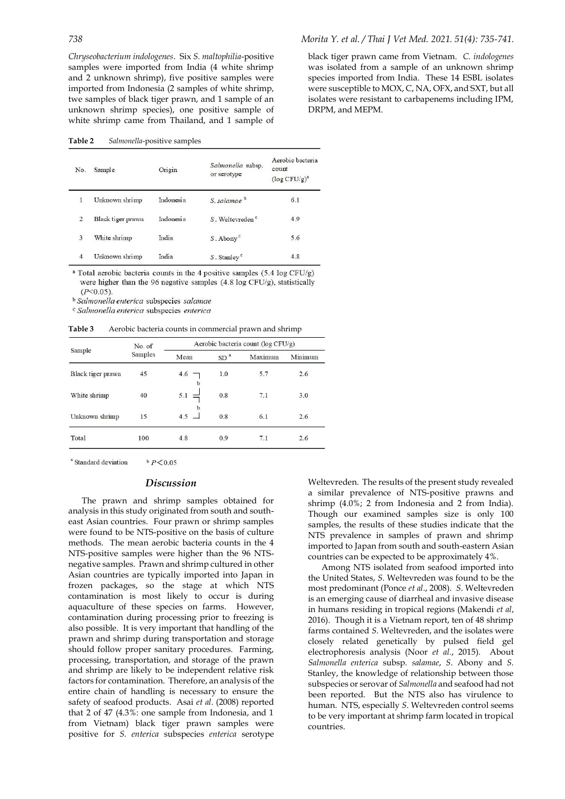*Chryseobacterium indologenes*. Six *S. maltophilia*-positive samples were imported from India (4 white shrimp and 2 unknown shrimp), five positive samples were imported from Indonesia (2 samples of white shrimp, twe samples of black tiger prawn, and 1 sample of an unknown shrimp species), one positive sample of white shrimp came from Thailand, and 1 sample of

**Table 2** *Salmonella*-positive samples

| No.            | Sample            | Origin    | Salmonella subsp.<br>or serotype | Aerobic bacteria<br>count<br>$(\log CFU/g)^a$ |  |  |
|----------------|-------------------|-----------|----------------------------------|-----------------------------------------------|--|--|
| $\mathbf{1}$   | Unknown shrimp    | Indonesia | $S$ salamae <sup>b</sup>         | 6.1                                           |  |  |
| 2              | Black tiger prawn | Indonesia | S. Weltevreden <sup>c</sup>      | 4.9                                           |  |  |
| 3              | White shrimp      | India     | $S$ . Abony <sup>c</sup>         | 5.6                                           |  |  |
| $\overline{4}$ | Unknown shrimp    | India     | S. Stanley <sup>c</sup>          | 4.8                                           |  |  |

<sup>a</sup> Total aerobic bacteria counts in the 4 positive samples (5.4 log CFU/g) were higher than the 96 negative samples (4.8 log CFU/g), statistically  $(P<0.05)$ .

<sup>b</sup> Salmonella enterica subspecies salamae

c Salmonella enterica subspecies enterica

**Table 3** Aerobic bacteria counts in commercial prawn and shrimp

|                   | No. of  | Aerobic bacteria count (log CFU/g)   |                 |         |         |  |  |  |  |  |
|-------------------|---------|--------------------------------------|-----------------|---------|---------|--|--|--|--|--|
| Sample            | Samples | Mean                                 | SD <sup>3</sup> | Maximum | Minimum |  |  |  |  |  |
| Black tiger prawn | 45      | 4.6<br>b                             | 1.0             | 5.7     | 2.6     |  |  |  |  |  |
| White shrimp      | 40      | 5.1<br>$\overline{\phantom{0}}$      | 0.8             | 7.1     | 3.0     |  |  |  |  |  |
| Unknown shrimp    | 15      | b<br>4.5<br>$\overline{\phantom{0}}$ | 0.8             | 6.1     | 2.6     |  |  |  |  |  |
| Total             | 100     | 4.8                                  | 0.9             | 7.1     | 2.6     |  |  |  |  |  |

<sup>a</sup> Standard deviation  $b$   $P < 0.05$ 

#### *Discussion*

The prawn and shrimp samples obtained for analysis in this study originated from south and southeast Asian countries. Four prawn or shrimp samples were found to be NTS-positive on the basis of culture methods. The mean aerobic bacteria counts in the 4 NTS*-*positive samples were higher than the 96 NTSnegative samples. Prawn and shrimp cultured in other Asian countries are typically imported into Japan in frozen packages, so the stage at which NTS contamination is most likely to occur is during aquaculture of these species on farms. However, contamination during processing prior to freezing is also possible. It is very important that handling of the prawn and shrimp during transportation and storage should follow proper sanitary procedures. Farming, processing, transportation, and storage of the prawn and shrimp are likely to be independent relative risk factors for contamination. Therefore, an analysis of the entire chain of handling is necessary to ensure the safety of seafood products. Asai *et al*. (2008) reported that 2 of 47 (4.3%: one sample from Indonesia, and 1 from Vietnam) black tiger prawn samples were positive for *S. enterica* subspecies *enterica* serotype

black tiger prawn came from Vietnam. *C. indologenes* was isolated from a sample of an unknown shrimp species imported from India. These 14 ESBL isolates were susceptible to MOX, C, NA, OFX, and SXT, but all isolates were resistant to carbapenems including IPM, DRPM, and MEPM.

Weltevreden. The results of the present study revealed a similar prevalence of NTS-positive prawns and shrimp (4.0%; 2 from Indonesia and 2 from India). Though our examined samples size is only 100 samples, the results of these studies indicate that the NTS prevalence in samples of prawn and shrimp imported to Japan from south and south-eastern Asian countries can be expected to be approximately 4%.

Among NTS isolated from seafood imported into the United States, *S*. Weltevreden was found to be the most predominant (Ponce *et al*., 2008). *S*. Weltevreden is an emerging cause of diarrheal and invasive disease in humans residing in tropical regions (Makendi *et al*, 2016). Though it is a Vietnam report, ten of 48 shrimp farms contained *S*. Weltevreden, and the isolates were closely related genetically by pulsed field gel electrophoresis analysis (Noor *et al.*, 2015). About *Salmonella enterica* subsp. *salamae*, *S*. Abony and *S*. Stanley, the knowledge of relationship between those subspecies or serovar of *Salmonella* and seafood had not been reported. But the NTS also has virulence to human. NTS, especially *S*. Weltevreden control seems to be very important at shrimp farm located in tropical countries.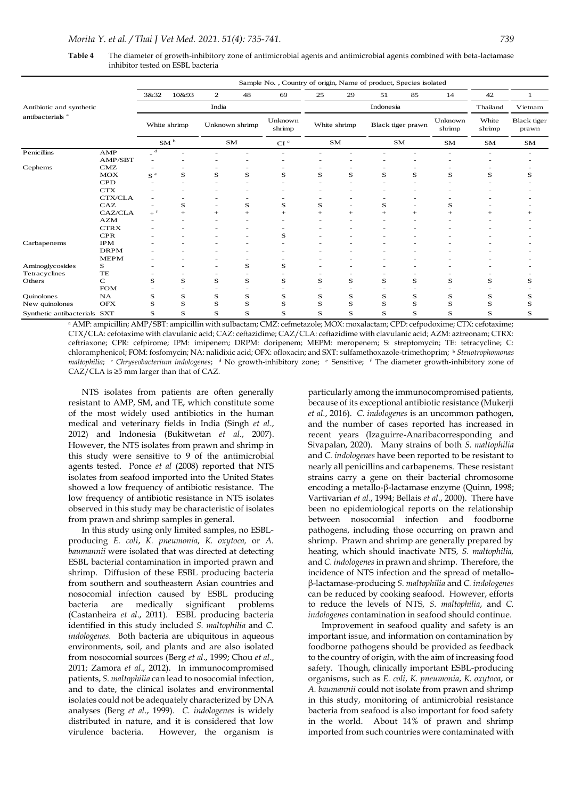|                                                         |                                                                                                                                                                                                                                                                                                                                                                                                                                                                                                                                                                                                                                                                                                                                                                                                                                                                                                                                                                                         |                         |                                   |                |                 | Sample No., Country of origin, Name of product, Species isolated |              |        |                   |        |                                                                                                                                                                                                                                                                                                                                                                                                                                                                                                                                                                                                                                                                                                                                                                                                                                                                                                                                                                                                                                                    |                 |                                 |
|---------------------------------------------------------|-----------------------------------------------------------------------------------------------------------------------------------------------------------------------------------------------------------------------------------------------------------------------------------------------------------------------------------------------------------------------------------------------------------------------------------------------------------------------------------------------------------------------------------------------------------------------------------------------------------------------------------------------------------------------------------------------------------------------------------------------------------------------------------------------------------------------------------------------------------------------------------------------------------------------------------------------------------------------------------------|-------------------------|-----------------------------------|----------------|-----------------|------------------------------------------------------------------|--------------|--------|-------------------|--------|----------------------------------------------------------------------------------------------------------------------------------------------------------------------------------------------------------------------------------------------------------------------------------------------------------------------------------------------------------------------------------------------------------------------------------------------------------------------------------------------------------------------------------------------------------------------------------------------------------------------------------------------------------------------------------------------------------------------------------------------------------------------------------------------------------------------------------------------------------------------------------------------------------------------------------------------------------------------------------------------------------------------------------------------------|-----------------|---------------------------------|
|                                                         |                                                                                                                                                                                                                                                                                                                                                                                                                                                                                                                                                                                                                                                                                                                                                                                                                                                                                                                                                                                         | 3&32                    | 10&93                             | $\mathbf 2$    | 48              | 69                                                               | 25           | 29     | 51                | 85     | 14                                                                                                                                                                                                                                                                                                                                                                                                                                                                                                                                                                                                                                                                                                                                                                                                                                                                                                                                                                                                                                                 | 42              | 1                               |
| Antibiotic and synthetic<br>antibacterials <sup>a</sup> |                                                                                                                                                                                                                                                                                                                                                                                                                                                                                                                                                                                                                                                                                                                                                                                                                                                                                                                                                                                         | India                   |                                   |                |                 |                                                                  |              |        | Indonesia         |        |                                                                                                                                                                                                                                                                                                                                                                                                                                                                                                                                                                                                                                                                                                                                                                                                                                                                                                                                                                                                                                                    | Thailand        | Vietnam<br>Black tiger<br>prawn |
|                                                         |                                                                                                                                                                                                                                                                                                                                                                                                                                                                                                                                                                                                                                                                                                                                                                                                                                                                                                                                                                                         | White shrimp            |                                   | Unknown shrimp |                 | Unknown<br>shrimp                                                | White shrimp |        | Black tiger prawn |        | Unknown<br>shrimp                                                                                                                                                                                                                                                                                                                                                                                                                                                                                                                                                                                                                                                                                                                                                                                                                                                                                                                                                                                                                                  | White<br>shrimp |                                 |
|                                                         |                                                                                                                                                                                                                                                                                                                                                                                                                                                                                                                                                                                                                                                                                                                                                                                                                                                                                                                                                                                         |                         | $\mathbf{S}\mathbf{M}$ $^{\rm b}$ | SM             |                 | CI <sup>c</sup>                                                  | <b>SM</b>    |        |                   | SΜ     | SΜ                                                                                                                                                                                                                                                                                                                                                                                                                                                                                                                                                                                                                                                                                                                                                                                                                                                                                                                                                                                                                                                 | SМ              | SМ                              |
| Penicillins                                             | AMP                                                                                                                                                                                                                                                                                                                                                                                                                                                                                                                                                                                                                                                                                                                                                                                                                                                                                                                                                                                     | $_{-}$ d                |                                   |                |                 |                                                                  |              |        |                   |        |                                                                                                                                                                                                                                                                                                                                                                                                                                                                                                                                                                                                                                                                                                                                                                                                                                                                                                                                                                                                                                                    |                 |                                 |
| Cephems                                                 | AMP/SBT<br>CMZ                                                                                                                                                                                                                                                                                                                                                                                                                                                                                                                                                                                                                                                                                                                                                                                                                                                                                                                                                                          |                         |                                   |                |                 |                                                                  |              |        |                   |        |                                                                                                                                                                                                                                                                                                                                                                                                                                                                                                                                                                                                                                                                                                                                                                                                                                                                                                                                                                                                                                                    |                 |                                 |
|                                                         | MOX                                                                                                                                                                                                                                                                                                                                                                                                                                                                                                                                                                                                                                                                                                                                                                                                                                                                                                                                                                                     | $\mathrm{s}$ $^{\circ}$ | S                                 | S              | S               | S                                                                | S            | S      | S                 | S      | S                                                                                                                                                                                                                                                                                                                                                                                                                                                                                                                                                                                                                                                                                                                                                                                                                                                                                                                                                                                                                                                  | S               | s                               |
|                                                         | CPD<br>CTX                                                                                                                                                                                                                                                                                                                                                                                                                                                                                                                                                                                                                                                                                                                                                                                                                                                                                                                                                                              |                         |                                   |                |                 |                                                                  |              |        |                   |        |                                                                                                                                                                                                                                                                                                                                                                                                                                                                                                                                                                                                                                                                                                                                                                                                                                                                                                                                                                                                                                                    |                 |                                 |
|                                                         | CTX/CLA                                                                                                                                                                                                                                                                                                                                                                                                                                                                                                                                                                                                                                                                                                                                                                                                                                                                                                                                                                                 |                         |                                   |                |                 |                                                                  |              |        |                   |        |                                                                                                                                                                                                                                                                                                                                                                                                                                                                                                                                                                                                                                                                                                                                                                                                                                                                                                                                                                                                                                                    |                 |                                 |
|                                                         | CAZ                                                                                                                                                                                                                                                                                                                                                                                                                                                                                                                                                                                                                                                                                                                                                                                                                                                                                                                                                                                     |                         | S                                 |                | S               | S                                                                | S            |        | S                 |        | S                                                                                                                                                                                                                                                                                                                                                                                                                                                                                                                                                                                                                                                                                                                                                                                                                                                                                                                                                                                                                                                  |                 |                                 |
|                                                         | CAZ/CLA<br>AZM                                                                                                                                                                                                                                                                                                                                                                                                                                                                                                                                                                                                                                                                                                                                                                                                                                                                                                                                                                          |                         | $^{+}$                            | $^{+}$         | $\! + \!\!\!\!$ | $^{+}$                                                           |              | $^{+}$ | $^{+}$            | $^{+}$ | $^{+}$                                                                                                                                                                                                                                                                                                                                                                                                                                                                                                                                                                                                                                                                                                                                                                                                                                                                                                                                                                                                                                             | $^{+}$          |                                 |
|                                                         | <b>CTRX</b>                                                                                                                                                                                                                                                                                                                                                                                                                                                                                                                                                                                                                                                                                                                                                                                                                                                                                                                                                                             |                         |                                   |                |                 |                                                                  |              |        |                   |        |                                                                                                                                                                                                                                                                                                                                                                                                                                                                                                                                                                                                                                                                                                                                                                                                                                                                                                                                                                                                                                                    |                 |                                 |
| Carbapenems                                             | CPR<br>IPM                                                                                                                                                                                                                                                                                                                                                                                                                                                                                                                                                                                                                                                                                                                                                                                                                                                                                                                                                                              |                         |                                   |                |                 | S                                                                |              |        |                   |        |                                                                                                                                                                                                                                                                                                                                                                                                                                                                                                                                                                                                                                                                                                                                                                                                                                                                                                                                                                                                                                                    |                 |                                 |
|                                                         | DRPM                                                                                                                                                                                                                                                                                                                                                                                                                                                                                                                                                                                                                                                                                                                                                                                                                                                                                                                                                                                    |                         |                                   |                |                 |                                                                  |              |        |                   |        |                                                                                                                                                                                                                                                                                                                                                                                                                                                                                                                                                                                                                                                                                                                                                                                                                                                                                                                                                                                                                                                    |                 |                                 |
|                                                         | <b>MEPM</b>                                                                                                                                                                                                                                                                                                                                                                                                                                                                                                                                                                                                                                                                                                                                                                                                                                                                                                                                                                             |                         |                                   |                |                 |                                                                  |              |        |                   |        |                                                                                                                                                                                                                                                                                                                                                                                                                                                                                                                                                                                                                                                                                                                                                                                                                                                                                                                                                                                                                                                    |                 |                                 |
| Aminoglycosides<br>Tetracyclines                        | s<br>TE                                                                                                                                                                                                                                                                                                                                                                                                                                                                                                                                                                                                                                                                                                                                                                                                                                                                                                                                                                                 |                         |                                   |                | S               | S                                                                |              |        |                   |        |                                                                                                                                                                                                                                                                                                                                                                                                                                                                                                                                                                                                                                                                                                                                                                                                                                                                                                                                                                                                                                                    |                 |                                 |
| Others                                                  | С                                                                                                                                                                                                                                                                                                                                                                                                                                                                                                                                                                                                                                                                                                                                                                                                                                                                                                                                                                                       | S                       | s                                 | S              | S               | S                                                                | S            | S      | S                 | S      | S                                                                                                                                                                                                                                                                                                                                                                                                                                                                                                                                                                                                                                                                                                                                                                                                                                                                                                                                                                                                                                                  | S               | s                               |
| Quinolones                                              | <b>FOM</b><br>NA                                                                                                                                                                                                                                                                                                                                                                                                                                                                                                                                                                                                                                                                                                                                                                                                                                                                                                                                                                        | S                       | S                                 | S              | S               | S                                                                | S            | S      | S                 | S      | $\bf S$                                                                                                                                                                                                                                                                                                                                                                                                                                                                                                                                                                                                                                                                                                                                                                                                                                                                                                                                                                                                                                            | S               | s                               |
| New quinolones                                          | <b>OFX</b>                                                                                                                                                                                                                                                                                                                                                                                                                                                                                                                                                                                                                                                                                                                                                                                                                                                                                                                                                                              | S                       | S                                 | S              | S               | S                                                                | s            | S      | S                 | S      | S                                                                                                                                                                                                                                                                                                                                                                                                                                                                                                                                                                                                                                                                                                                                                                                                                                                                                                                                                                                                                                                  | S               | S                               |
| Synthetic antibacterials SXT                            |                                                                                                                                                                                                                                                                                                                                                                                                                                                                                                                                                                                                                                                                                                                                                                                                                                                                                                                                                                                         | S                       | S                                 | S              | S               | S                                                                | S            | S      | S                 | S      | $\bf S$                                                                                                                                                                                                                                                                                                                                                                                                                                                                                                                                                                                                                                                                                                                                                                                                                                                                                                                                                                                                                                            | S               | $\bf S$                         |
|                                                         | resistant to AMP, SM, and TE, which constitute some<br>of the most widely used antibiotics in the human<br>medical and veterinary fields in India (Singh et al.,<br>2012) and Indonesia (Bukitwetan et al., 2007).<br>However, the NTS isolates from prawn and shrimp in<br>this study were sensitive to 9 of the antimicrobial<br>agents tested. Ponce et al (2008) reported that NTS<br>isolates from seafood imported into the United States<br>showed a low frequency of antibiotic resistance. The<br>low frequency of antibiotic resistance in NTS isolates<br>observed in this study may be characteristic of isolates<br>from prawn and shrimp samples in general.                                                                                                                                                                                                                                                                                                              |                         |                                   |                |                 |                                                                  |              |        |                   |        | because of its exceptional antibiotic resistance (Mukerji<br>et al., 2016). C. indologenes is an uncommon pathogen,<br>and the number of cases reported has increased in<br>recent years (Izaguirre-Anaribacorresponding and<br>Sivapalan, 2020). Many strains of both S. maltophilia<br>and C. indologenes have been reported to be resistant to<br>nearly all penicillins and carbapenems. These resistant<br>strains carry a gene on their bacterial chromosome<br>encoding a metallo- $\beta$ -lactamase enzyme (Quinn, 1998;<br>Vartivarian et al., 1994; Bellais et al., 2000). There have<br>been no epidemiological reports on the relationship<br>between nosocomial infection and foodborne                                                                                                                                                                                                                                                                                                                                              |                 |                                 |
| bacteria                                                | In this study using only limited samples, no ESBL-<br>producing E. coli, K. pneumonia, K. oxytoca, or A.<br>baumannii were isolated that was directed at detecting<br>ESBL bacterial contamination in imported prawn and<br>shrimp. Diffusion of these ESBL producing bacteria<br>from southern and southeastern Asian countries and<br>nosocomial infection caused by ESBL producing<br>are<br>(Castanheira et al., 2011). ESBL producing bacteria<br>identified in this study included S. maltophilia and C.<br>indologenes. Both bacteria are ubiquitous in aqueous<br>environments, soil, and plants and are also isolated<br>from nosocomial sources (Berg et al., 1999; Chou et al.,<br>2011; Zamora et al., 2012). In immunocompromised<br>patients, S. maltophilia can lead to nosocomial infection,<br>and to date, the clinical isolates and environmental<br>isolates could not be adequately characterized by DNA<br>analyses (Berg et al., 1999). C. indologenes is widely | medically               |                                   | significant    | problems        |                                                                  |              |        |                   |        | pathogens, including those occurring on prawn and<br>shrimp. Prawn and shrimp are generally prepared by<br>heating, which should inactivate NTS, S. maltophilia,<br>and C. indologenes in prawn and shrimp. Therefore, the<br>incidence of NTS infection and the spread of metallo-<br>β-lactamase-producing S. maltophilia and C. indologenes<br>can be reduced by cooking seafood. However, efforts<br>to reduce the levels of NTS, S. maltophilia, and C.<br>indologenes contamination in seafood should continue.<br>Improvement in seafood quality and safety is an<br>important issue, and information on contamination by<br>foodborne pathogens should be provided as feedback<br>to the country of origin, with the aim of increasing food<br>safety. Though, clinically important ESBL-producing<br>organisms, such as E. coli, K. pneumonia, K. oxytoca, or<br>A. baumannii could not isolate from prawn and shrimp<br>in this study, monitoring of antimicrobial resistance<br>bacteria from seafood is also important for food safety |                 |                                 |

**Table 4** The diameter of growth-inhibitory zone of antimicrobial agents and antimicrobial agents combined with beta-lactamase inhibitor tested on ESBL bacteria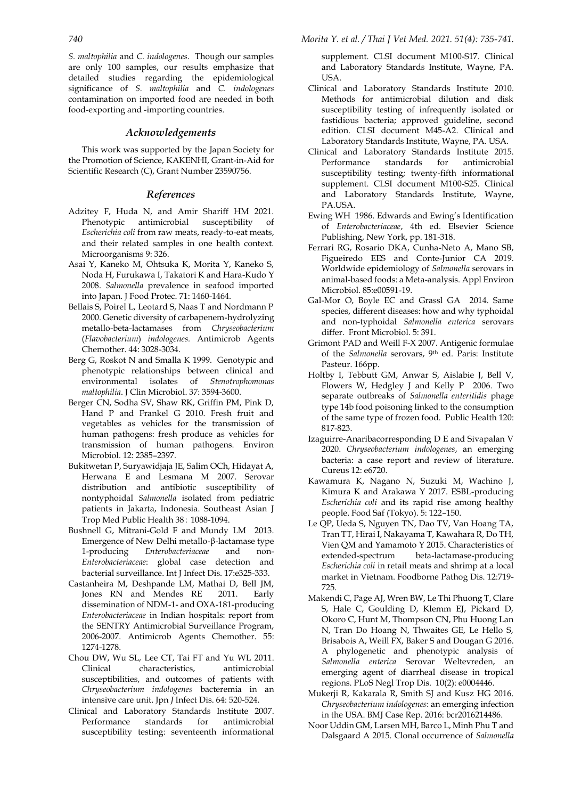*S. maltophilia* and *C. indologenes*. Though our samples are only 100 samples, our results emphasize that detailed studies regarding the epidemiological significance of *S. maltophilia* and *C. indologenes* contamination on imported food are needed in both food-exporting and -importing countries.

## *Acknowledgements*

This work was supported by the Japan Society for the Promotion of Science, KAKENHI, Grant-in-Aid for Scientific Research (C), Grant Number 23590756.

## *References*

- Adzitey F, Huda N, and Amir Shariff HM 2021. Phenotypic antimicrobial susceptibility of *Escherichia coli* from raw meats, ready-to-eat meats, and their related samples in one health context. Microorganisms 9: 326.
- Asai Y, Kaneko M, Ohtsuka K, Morita Y, Kaneko S, Noda H, Furukawa I, Takatori K and Hara-Kudo Y 2008. *Salmonella* prevalence in seafood imported into Japan. [J Food Protec.](http://www.ncbi.nlm.nih.gov/pubmed/?term=asai+y+2008+salmonella) 71: 1460-1464.
- Bellais S, Poirel L, Leotard S, Naas T and Nordmann P 2000. Genetic diversity of carbapenem-hydrolyzing metallo-beta-lactamases from *Chryseobacterium*  (*Flavobacterium*) *indologenes.* Antimicrob Agents Chemother. 44: 3028-3034.
- Berg G, Roskot N and Smalla K 1999. Genotypic and phenotypic relationships between clinical and environmental isolates of *Stenotrophomonas maltophilia*. J Clin Microbiol. 37: 3594-3600.
- Berger CN, Sodha SV, Shaw RK, Griffin PM, Pink D, Hand P and Frankel G 2010. Fresh fruit and vegetables as vehicles for the transmission of human pathogens: fresh produce as vehicles for transmission of human pathogens. Environ Microbiol. 12: 2385–2397.
- Bukitwetan P, Suryawidjaja JE, Salim OCh, Hidayat A, Herwana E and Lesmana M 2007. Serovar distribution and antibiotic susceptibility of nontyphoidal *Salmonella* isolated from pediatric patients in Jakarta, Indonesia. Southeast Asian J Trop Med Public Health 38: 1088-1094.
- Bushnell G, Mitrani-Gold F and Mundy LM 2013. Emergence of New Delhi metallo-β-lactamase type 1-producing *Enterobacteriaceae* and non-*Enterobacteriaceae*: global case detection and bacterial surveillance. Int J Infect Dis. 17:e325-333.
- Castanheira M, Deshpande LM, Mathai D, Bell JM, Jones RN and Mendes RE 2011. Early dissemination of NDM-1- and OXA-181-producing *Enterobacteriaceae* in Indian hospitals: report from the SENTRY Antimicrobial Surveillance Program, 2006-2007. Antimicrob Agents Chemother. 55: 1274-1278.
- Chou DW, Wu SL, Lee CT, Tai FT and Yu WL 2011. Clinical characteristics, antimicrobial susceptibilities, and outcomes of patients with *Chryseobacterium indologenes* bacteremia in an intensive care unit. Jpn *J* Infect Dis. 64: 520-524.
- Clinical and Laboratory Standards Institute 2007. Performance standards for antimicrobial susceptibility testing: seventeenth informational

supplement. CLSI document M100-S17. Clinical and Laboratory Standards Institute, Wayne, PA. USA.

- Clinical and Laboratory Standards Institute 2010. Methods for antimicrobial dilution and disk susceptibility testing of infrequently isolated or fastidious bacteria; approved guideline, second edition. CLSI document M45-A2. Clinical and Laboratory Standards Institute, Wayne, PA. USA.
- Clinical and Laboratory Standards Institute 2015. Performance standards for antimicrobial susceptibility testing; twenty-fifth informational supplement. CLSI document M100-S25. Clinical and Laboratory Standards Institute, Wayne, PA<sub>ISA</sub>
- Ewing WH 1986. Edwards and Ewing's Identification of *Enterobacteriaceae*, 4th ed. Elsevier Science Publishing, New York, pp. 181-318.
- Ferrari RG, Rosario DKA, Cunha-Neto A, Mano SB, Figueiredo EES and Conte-Junior CA 2019. Worldwide epidemiology of *Salmonella* serovars in animal-based foods: a Meta-analysis. Appl Environ Microbiol. 85:e00591-19.
- Gal-Mor O, Boyle EC and Grassl GA 2014. Same species, different diseases: how and why typhoidal and non-typhoidal *Salmonella enterica* serovars differ. Front Microbiol. 5: 391.
- Grimont PAD and Weill F-X 2007. Antigenic formulae of the *Salmonella* serovars, 9th ed. Paris: Institute Pasteur. 166pp.
- [Holtby I,](http://www.ncbi.nlm.nih.gov/pubmed?term=Holtby%20I%5BAuthor%5D&cauthor=true&cauthor_uid=16879847) [Tebbutt GM,](http://www.ncbi.nlm.nih.gov/pubmed?term=Tebbutt%20GM%5BAuthor%5D&cauthor=true&cauthor_uid=16879847) [Anwar S,](http://www.ncbi.nlm.nih.gov/pubmed?term=Anwar%20S%5BAuthor%5D&cauthor=true&cauthor_uid=16879847) [Aislabie J,](http://www.ncbi.nlm.nih.gov/pubmed?term=Aislabie%20J%5BAuthor%5D&cauthor=true&cauthor_uid=16879847) [Bell V,](http://www.ncbi.nlm.nih.gov/pubmed?term=Bell%20V%5BAuthor%5D&cauthor=true&cauthor_uid=16879847) [Flowers W,](http://www.ncbi.nlm.nih.gov/pubmed?term=Flowers%20W%5BAuthor%5D&cauthor=true&cauthor_uid=16879847) [Hedgley J](http://www.ncbi.nlm.nih.gov/pubmed?term=Hedgley%20J%5BAuthor%5D&cauthor=true&cauthor_uid=16879847) and [Kelly P](http://www.ncbi.nlm.nih.gov/pubmed?term=Kelly%20P%5BAuthor%5D&cauthor=true&cauthor_uid=16879847) 2006. Two separate outbreaks of *Salmonella enteritidis* phage type 14b food poisoning linked to the consumption of the same type of frozen food. [Public Health](http://www.ncbi.nlm.nih.gov/pubmed/16879847) 120: 817-823.
- Izaguirre-Anaribacorresponding D E and Sivapalan V 2020. *Chryseobacterium indologenes*, an emerging bacteria: a case report and review of literature. Cureus 12: e6720.
- Kawamura K, Nagano N, Suzuki M, Wachino J, Kimura K and Arakawa Y 2017. ESBL-producing *Escherichia coli* and its rapid rise among healthy people. Food Saf (Tokyo). 5: 122–150.
- Le QP, Ueda S, Nguyen TN, Dao TV, Van Hoang TA, Tran TT, Hirai I, Nakayama T, Kawahara R, Do TH, Vien QM and Yamamoto Y 2015. Characteristics of extended-spectrum beta-lactamase-producing *Escherichia coli* in retail meats and shrimp at a local market in Vietnam. Foodborne Pathog Dis. 12:719- 725.
- Makendi C, Page AJ, Wren BW, Le Thi Phuong T, Clare S, Hale C, Goulding D, Klemm EJ, Pickard D, Okoro C, Hunt M, Thompson CN, Phu Huong Lan N, Tran Do Hoang N, Thwaites GE, Le Hello S, Brisabois A, Weill FX, Baker S and Dougan G 2016. A phylogenetic and phenotypic analysis of *Salmonella enterica* Serovar Weltevreden, an emerging agent of diarrheal disease in tropical regions. PLoS Negl Trop Dis. 10(2): e0004446.
- Mukerji R, Kakarala R, Smith SJ and Kusz HG 2016. *Chryseobacterium indologenes*: an emerging infection in the USA. BMJ Case Rep. 2016: bcr2016214486.
- Noor Uddin GM, Larsen MH, Barco L, Minh Phu T and Dalsgaard A 2015. Clonal occurrence of *Salmonella*